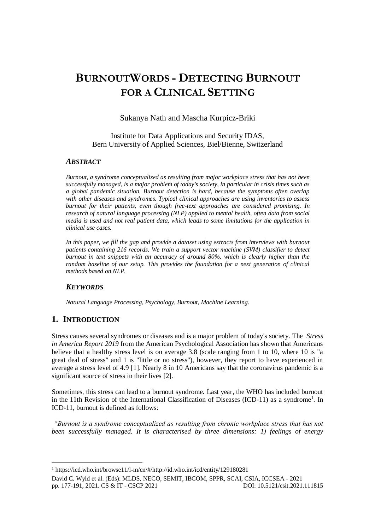# **BURNOUTWORDS - DETECTING BURNOUT FOR A CLINICAL SETTING**

Sukanya Nath and Mascha Kurpicz-Briki

Institute for Data Applications and Security IDAS, Bern University of Applied Sciences, Biel/Bienne, Switzerland

# *ABSTRACT*

*Burnout, a syndrome conceptualized as resulting from major workplace stress that has not been successfully managed, is a major problem of today's society, in particular in crisis times such as a global pandemic situation. Burnout detection is hard, because the symptoms often overlap with other diseases and syndromes. Typical clinical approaches are using inventories to assess burnout for their patients, even though free-text approaches are considered promising. In research of natural language processing (NLP) applied to mental health, often data from social media is used and not real patient data, which leads to some limitations for the application in clinical use cases.* 

*In this paper, we fill the gap and provide a dataset using extracts from interviews with burnout patients containing 216 records. We train a support vector machine (SVM) classifier to detect burnout in text snippets with an accuracy of around 80%, which is clearly higher than the random baseline of our setup. This provides the foundation for a next generation of clinical methods based on NLP.* 

# *KEYWORDS*

*Natural Language Processing, Psychology, Burnout, Machine Learning.*

# **1. INTRODUCTION**

<u>.</u>

Stress causes several syndromes or diseases and is a major problem of today's society. The *Stress in America Report 2019* from the American Psychological Association has shown that Americans believe that a healthy stress level is on average 3.8 (scale ranging from 1 to 10, where 10 is "a great deal of stress" and 1 is "little or no stress"), however, they report to have experienced in average a stress level of 4.9 [1]. Nearly 8 in 10 Americans say that the coronavirus pandemic is a significant source of stress in their lives [2].

Sometimes, this stress can lead to a burnout syndrome. Last year, the WHO has included burnout in the 11th Revision of the International Classification of Diseases (ICD-11) as a syndrome<sup>1</sup>. In ICD-11, burnout is defined as follows:

*"Burnout is a syndrome conceptualized as resulting from chronic workplace stress that has not been successfully managed. It is characterised by three dimensions: 1) feelings of energy* 

<sup>1</sup> [https://icd.who.int/browse11/l-m/en\#/http://id.who.int/icd/entity/129180281](https://icd.who.int/browse11/l-m/en/#/http://id.who.int/icd/entity/129180281)

David C. Wyld et al. (Eds): MLDS, NECO, SEMIT, IBCOM, SPPR, SCAI, CSIA, ICCSEA - 2021 pp. 177-191, 2021[. CS & IT](http://airccse.org/cscp.html) - [CSCP 2021](http://airccse.org/csit/V11N18.html) [DOI: 10.5121/csit.2021.111815](https://doi.org/10.5121/csit.2021.111815)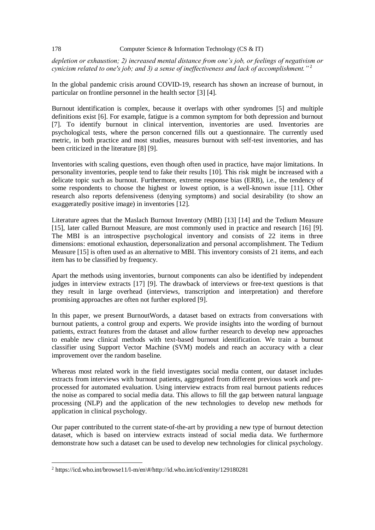*depletion or exhaustion; 2) increased mental distance from one's job, or feelings of negativism or cynicism related to one's job; and 3) a sense of ineffectiveness and lack of accomplishment."* <sup>2</sup>

In the global pandemic crisis around COVID-19, research has shown an increase of burnout, in particular on frontline personnel in the health sector [3] [4].

Burnout identification is complex, because it overlaps with other syndromes [5] and multiple definitions exist [6]. For example, fatigue is a common symptom for both depression and burnout [7]. To identify burnout in clinical intervention, inventories are used. Inventories are psychological tests, where the person concerned fills out a questionnaire. The currently used metric, in both practice and most studies, measures burnout with self-test inventories, and has been criticized in the literature [8] [9].

Inventories with scaling questions, even though often used in practice, have major limitations. In personality inventories, people tend to fake their results [10]. This risk might be increased with a delicate topic such as burnout. Furthermore, extreme response bias (ERB), i.e., the tendency of some respondents to choose the highest or lowest option, is a well-known issue [11]. Other research also reports defensiveness (denying symptoms) and social desirability (to show an exaggeratedly positive image) in inventories [12].

Literature agrees that the Maslach Burnout Inventory (MBI) [13] [14] and the Tedium Measure [15], later called Burnout Measure, are most commonly used in practice and research [16] [9]. The MBI is an introspective psychological inventory and consists of 22 items in three dimensions: emotional exhaustion, depersonalization and personal accomplishment. The Tedium Measure [15] is often used as an alternative to MBI. This inventory consists of 21 items, and each item has to be classified by frequency.

Apart the methods using inventories, burnout components can also be identified by independent judges in interview extracts [17] [9]. The drawback of interviews or free-text questions is that they result in large overhead (interviews, transcription and interpretation) and therefore promising approaches are often not further explored [9].

In this paper, we present BurnoutWords, a dataset based on extracts from conversations with burnout patients, a control group and experts. We provide insights into the wording of burnout patients, extract features from the dataset and allow further research to develop new approaches to enable new clinical methods with text-based burnout identification. We train a burnout classifier using Support Vector Machine (SVM) models and reach an accuracy with a clear improvement over the random baseline.

Whereas most related work in the field investigates social media content, our dataset includes extracts from interviews with burnout patients, aggregated from different previous work and preprocessed for automated evaluation. Using interview extracts from real burnout patients reduces the noise as compared to social media data. This allows to fill the gap between natural language processing (NLP) and the application of the new technologies to develop new methods for application in clinical psychology.

Our paper contributed to the current state-of-the-art by providing a new type of burnout detection dataset, which is based on interview extracts instead of social media data. We furthermore demonstrate how such a dataset can be used to develop new technologies for clinical psychology.

<u>.</u>

 $2$  [https://icd.who.int/browse11/l-m/en\#/http://id.who.int/icd/entity/129180281](https://icd.who.int/browse11/l-m/en/#/http://id.who.int/icd/entity/129180281)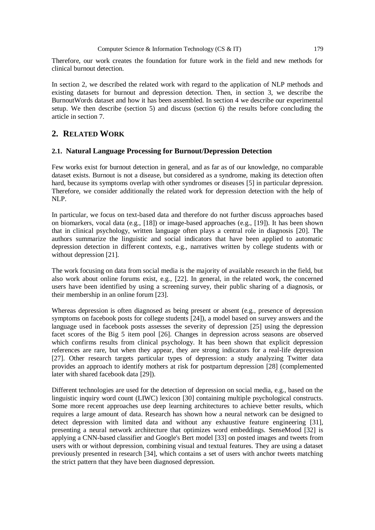Therefore, our work creates the foundation for future work in the field and new methods for clinical burnout detection.

In section 2, we described the related work with regard to the application of NLP methods and existing datasets for burnout and depression detection. Then, in section 3, we describe the BurnoutWords dataset and how it has been assembled. In section 4 we describe our experimental setup. We then describe (section 5) and discuss (section 6) the results before concluding the article in section 7.

# **2. RELATED WORK**

# **2.1. Natural Language Processing for Burnout/Depression Detection**

Few works exist for burnout detection in general, and as far as of our knowledge, no comparable dataset exists. Burnout is not a disease, but considered as a syndrome, making its detection often hard, because its symptoms overlap with other syndromes or diseases [5] in particular depression. Therefore, we consider additionally the related work for depression detection with the help of NLP.

In particular, we focus on text-based data and therefore do not further discuss approaches based on biomarkers, vocal data (e.g., [18]) or image-based approaches (e.g., [19]). It has been shown that in clinical psychology, written language often plays a central role in diagnosis [20]. The authors summarize the linguistic and social indicators that have been applied to automatic depression detection in different contexts, e.g., narratives written by college students with or without depression [21].

The work focusing on data from social media is the majority of available research in the field, but also work about online forums exist, e.g., [22]. In general, in the related work, the concerned users have been identified by using a screening survey, their public sharing of a diagnosis, or their membership in an online forum [23].

Whereas depression is often diagnosed as being present or absent (e.g., presence of depression symptoms on facebook posts for college students [24]), a model based on survey answers and the language used in facebook posts assesses the severity of depression [25] using the depression facet scores of the Big 5 item pool [26]. Changes in depression across seasons are observed which confirms results from clinical psychology. It has been shown that explicit depression references are rare, but when they appear, they are strong indicators for a real-life depression [27]. Other research targets particular types of depression: a study analyzing Twitter data provides an approach to identify mothers at risk for postpartum depression [28] (complemented later with shared facebook data [29]).

Different technologies are used for the detection of depression on social media, e.g., based on the linguistic inquiry word count (LIWC) lexicon [30] containing multiple psychological constructs. Some more recent approaches use deep learning architectures to achieve better results, which requires a large amount of data. Research has shown how a neural network can be designed to detect depression with limited data and without any exhaustive feature engineering [31], presenting a neural network architecture that optimizes word embeddings. SenseMood [32] is applying a CNN-based classifier and Google's Bert model [33] on posted images and tweets from users with or without depression, combining visual and textual features. They are using a dataset previously presented in research [34], which contains a set of users with anchor tweets matching the strict pattern that they have been diagnosed depression.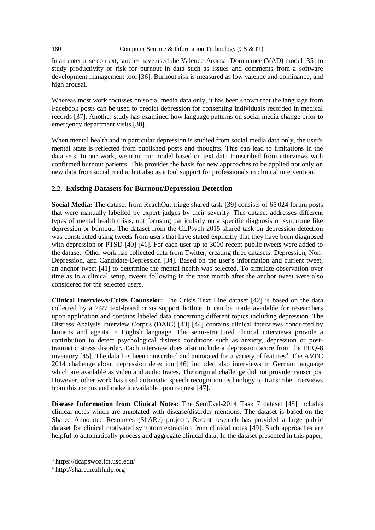In an enterprise context, studies have used the Valence-Arousal-Dominance (VAD) model [35] to study productivity or risk for burnout in data such as issues and comments from a software development management tool [36]. Burnout risk is measured as low valence and dominance, and high arousal.

Whereas most work focusses on social media data only, it has been shown that the language from Facebook posts can be used to predict depression for consenting individuals recorded in medical records [37]. Another study has examined how language patterns on social media change prior to emergency department visits [38].

When mental health and in particular depression is studied from social media data only, the user's mental state is reflected from published posts and thoughts. This can lead to limitations in the data sets. In our work, we train our model based on text data transcribed from interviews with confirmed burnout patients. This provides the basis for new approaches to be applied not only on new data from social media, but also as a tool support for professionals in clinical intervention.

# **2.2. Existing Datasets for Burnout/Depression Detection**

**Social Media:** The dataset from ReachOut triage shared task [39] consists of 65'024 forum posts that were manually labelled by expert judges by their severity. This dataset addresses different types of mental health crisis, not focusing particularly on a specific diagnosis or syndrome like depression or burnout. The dataset from the CLPsych 2015 shared task on depression detection was constructed using tweets from users that have stated explicitly that they have been diagnosed with depression or PTSD [40] [41]. For each user up to 3000 recent public tweets were added to the dataset. Other work has collected data from Twitter, creating three datasets: Depression, Non-Depression, and Candidate-Depression [34]. Based on the user's information and current tweet, an anchor tweet [41] to determine the mental health was selected. To simulate observation over time as in a clinical setup, tweets following in the next month after the anchor tweet were also considered for the selected users.

**Clinical Interviews/Crisis Counselor:** The Crisis Text Line dataset [42] is based on the data collected by a 24/7 text-based crisis support hotline. It can be made available for researchers upon application and contains labeled data concerning different topics including depression. The Distress Analysis Interview Corpus (DAIC) [43] [44] contains clinical interviews conducted by humans and agents in English language. The semi-structured clinical interviews provide a contribution to detect psychological distress conditions such as anxiety, depression or posttraumatic stress disorder. Each interview does also include a depression score from the PHQ-8 inventory  $[45]$ . The data has been transcribed and annotated for a variety of features<sup>3</sup>. The AVEC 2014 challenge about depression detection [46] included also interviews in German language which are available as video and audio traces. The original challenge did not provide transcripts. However, other work has used automatic speech recognition technology to transcribe interviews from this corpus and make it available upon request [47].

**Disease Information from Clinical Notes:** The SemEval-2014 Task 7 dataset [48] includes clinical notes which are annotated with disease/disorder mentions. The dataset is based on the Shared Annotated Resources (ShARe) project<sup>4</sup>. Recent research has provided a large public dataset for clinical motivated symptom extraction from clinical notes [49]. Such approaches are helpful to automatically process and aggregate clinical data. In the dataset presented in this paper,

<u>.</u>

<sup>3</sup> <https://dcapswoz.ict.usc.edu/>

<sup>4</sup> [http://share.healthnlp.org](http://share.healthnlp.org/)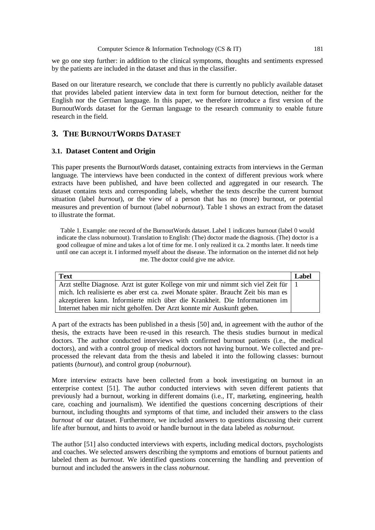we go one step further: in addition to the clinical symptoms, thoughts and sentiments expressed by the patients are included in the dataset and thus in the classifier.

Based on our literature research, we conclude that there is currently no publicly available dataset that provides labeled patient interview data in text form for burnout detection, neither for the English nor the German language. In this paper, we therefore introduce a first version of the BurnoutWords dataset for the German language to the research community to enable future research in the field.

# **3. THE BURNOUTWORDS DATASET**

# **3.1. Dataset Content and Origin**

This paper presents the BurnoutWords dataset, containing extracts from interviews in the German language. The interviews have been conducted in the context of different previous work where extracts have been published, and have been collected and aggregated in our research. The dataset contains texts and corresponding labels, whether the texts describe the current burnout situation (label *burnout*), or the view of a person that has no (more) burnout, or potential measures and prevention of burnout (label *noburnout*). Table 1 shows an extract from the dataset to illustrate the format.

Table 1. Example: one record of the BurnoutWords dataset. Label 1 indicates burnout (label 0 would indicate the class noburnout). Translation to English: (The) doctor made the diagnosis. (The) doctor is a good colleague of mine and takes a lot of time for me. I only realized it ca. 2 months later. It needs time until one can accept it. I informed myself about the disease. The information on the internet did not help me. The doctor could give me advice.

| Text                                                                                   | Label |
|----------------------------------------------------------------------------------------|-------|
| Arzt stellte Diagnose. Arzt ist guter Kollege von mir und nimmt sich viel Zeit für   1 |       |
| mich. Ich realisierte es aber erst ca. zwei Monate später. Braucht Zeit bis man es     |       |
| akzeptieren kann. Informierte mich über die Krankheit. Die Informationen im            |       |
| Internet haben mir nicht geholfen. Der Arzt konnte mir Auskunft geben.                 |       |

A part of the extracts has been published in a thesis [50] and, in agreement with the author of the thesis, the extracts have been re-used in this research. The thesis studies burnout in medical doctors. The author conducted interviews with confirmed burnout patients (i.e., the medical doctors), and with a control group of medical doctors not having burnout. We collected and preprocessed the relevant data from the thesis and labeled it into the following classes: burnout patients (*burnout*), and control group (*noburnout*).

More interview extracts have been collected from a book investigating on burnout in an enterprise context [51]. The author conducted interviews with seven different patients that previously had a burnout, working in different domains (i.e., IT, marketing, engineering, health care, coaching and journalism). We identified the questions concerning descriptions of their burnout, including thoughts and symptoms of that time, and included their answers to the class *burnout* of our dataset. Furthermore, we included answers to questions discussing their current life after burnout, and hints to avoid or handle burnout in the data labeled as *noburnout*.

The author [51] also conducted interviews with experts, including medical doctors, psychologists and coaches. We selected answers describing the symptoms and emotions of burnout patients and labeled them as *burnout*. We identified questions concerning the handling and prevention of burnout and included the answers in the class *noburnout*.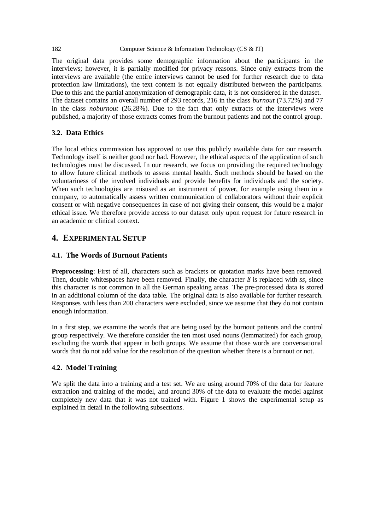The original data provides some demographic information about the participants in the interviews; however, it is partially modified for privacy reasons. Since only extracts from the interviews are available (the entire interviews cannot be used for further research due to data protection law limitations), the text content is not equally distributed between the participants. Due to this and the partial anonymization of demographic data, it is not considered in the dataset. The dataset contains an overall number of 293 records, 216 in the class *burnout* (73.72%) and 77 in the class *noburnout* (26.28%). Due to the fact that only extracts of the interviews were published, a majority of those extracts comes from the burnout patients and not the control group.

# **3.2. Data Ethics**

The local ethics commission has approved to use this publicly available data for our research. Technology itself is neither good nor bad. However, the ethical aspects of the application of such technologies must be discussed. In our research, we focus on providing the required technology to allow future clinical methods to assess mental health. Such methods should be based on the voluntariness of the involved individuals and provide benefits for individuals and the society. When such technologies are misused as an instrument of power, for example using them in a company, to automatically assess written communication of collaborators without their explicit consent or with negative consequences in case of not giving their consent, this would be a major ethical issue. We therefore provide access to our dataset only upon request for future research in an academic or clinical context.

# **4. EXPERIMENTAL SETUP**

# **4.1. The Words of Burnout Patients**

**Preprocessing**: First of all, characters such as brackets or quotation marks have been removed. Then, double whitespaces have been removed. Finally, the character  $\beta$  is replaced with *ss*, since this character is not common in all the German speaking areas. The pre-processed data is stored in an additional column of the data table. The original data is also available for further research. Responses with less than 200 characters were excluded, since we assume that they do not contain enough information.

In a first step, we examine the words that are being used by the burnout patients and the control group respectively. We therefore consider the ten most used nouns (lemmatized) for each group, excluding the words that appear in both groups. We assume that those words are conversational words that do not add value for the resolution of the question whether there is a burnout or not.

# **4.2. Model Training**

We split the data into a training and a test set. We are using around 70% of the data for feature extraction and training of the model, and around 30% of the data to evaluate the model against completely new data that it was not trained with. Figure 1 shows the experimental setup as explained in detail in the following subsections.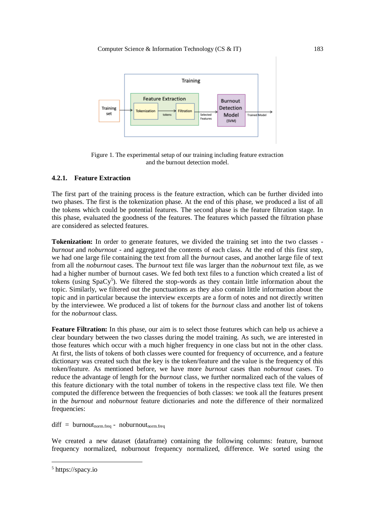

Figure 1. The experimental setup of our training including feature extraction and the burnout detection model.

# **4.2.1. Feature Extraction**

The first part of the training process is the feature extraction, which can be further divided into two phases. The first is the tokenization phase. At the end of this phase, we produced a list of all the tokens which could be potential features. The second phase is the feature filtration stage. In this phase, evaluated the goodness of the features. The features which passed the filtration phase are considered as selected features.

**Tokenization:** In order to generate features, we divided the training set into the two classes *burnout* and *noburnout* - and aggregated the contents of each class. At the end of this first step, we had one large file containing the text from all the *burnout* cases, and another large file of text from all the *noburnout* cases. The *burnout* text file was larger than the *noburnout* text file, as we had a higher number of burnout cases. We fed both text files to a function which created a list of tokens (using SpaCy<sup>5</sup>). We filtered the stop-words as they contain little information about the topic. Similarly, we filtered out the punctuations as they also contain little information about the topic and in particular because the interview excerpts are a form of notes and not directly written by the interviewee. We produced a list of tokens for the *burnout* class and another list of tokens for the *noburnout* class.

**Feature Filtration:** In this phase, our aim is to select those features which can help us achieve a clear boundary between the two classes during the model training. As such, we are interested in those features which occur with a much higher frequency in one class but not in the other class. At first, the lists of tokens of both classes were counted for frequency of occurrence, and a feature dictionary was created such that the key is the token/feature and the value is the frequency of this token/feature. As mentioned before, we have more *burnout* cases than *noburnout* cases. To reduce the advantage of length for the *burnout* class, we further normalized each of the values of this feature dictionary with the total number of tokens in the respective class text file. We then computed the difference between the frequencies of both classes: we took all the features present in the *burnout* and *noburnout* feature dictionaries and note the difference of their normalized frequencies:

 $diff = burnout_{norm-free} - noburnout_{norm-free}$ 

We created a new dataset (dataframe) containing the following columns: feature, burnout frequency normalized, noburnout frequency normalized, difference. We sorted using the

<u>.</u>

<sup>5</sup> [https://spacy.io](https://spacy.io/)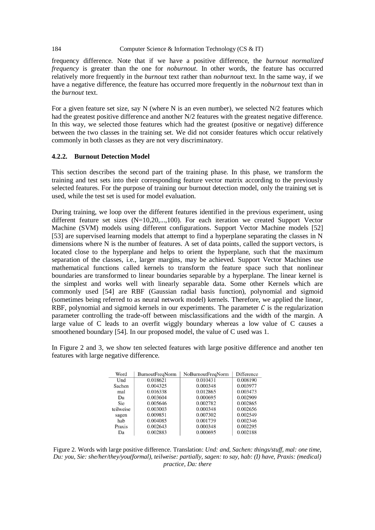frequency difference. Note that if we have a positive difference, the *burnout normalized frequency* is greater than the one for *noburnout*. In other words, the feature has occurred relatively more frequently in the *burnout* text rather than *noburnout* text. In the same way, if we have a negative difference, the feature has occurred more frequently in the *noburnout* text than in the *burnout* text.

For a given feature set size, say N (where N is an even number), we selected N/2 features which had the greatest positive difference and another N/2 features with the greatest negative difference. In this way, we selected those features which had the greatest (positive or negative) difference between the two classes in the training set. We did not consider features which occur relatively commonly in both classes as they are not very discriminatory.

# **4.2.2. Burnout Detection Model**

This section describes the second part of the training phase. In this phase, we transform the training and test sets into their corresponding feature vector matrix according to the previously selected features. For the purpose of training our burnout detection model, only the training set is used, while the test set is used for model evaluation.

During training, we loop over the different features identified in the previous experiment, using different feature set sizes (N=10,20,...,100). For each iteration we created Support Vector Machine (SVM) models using different configurations. Support Vector Machine models [52] [53] are supervised learning models that attempt to find a hyperplane separating the classes in N dimensions where N is the number of features. A set of data points, called the support vectors, is located close to the hyperplane and helps to orient the hyperplane, such that the maximum separation of the classes, i.e., larger margins, may be achieved. Support Vector Machines use mathematical functions called kernels to transform the feature space such that nonlinear boundaries are transformed to linear boundaries separable by a hyperplane. The linear kernel is the simplest and works well with linearly separable data. Some other Kernels which are commonly used [54] are RBF (Gaussian radial basis function), polynomial and sigmoid (sometimes being referred to as neural network model) kernels. Therefore, we applied the linear, RBF, polynomial and sigmoid kernels in our experiments. The parameter  $C$  is the regularization parameter controlling the trade-off between misclassifications and the width of the margin. A large value of C leads to an overfit wiggly boundary whereas a low value of C causes a smoothened boundary [54]. In our proposed model, the value of C used was 1.

In Figure 2 and 3, we show ten selected features with large positive difference and another ten features with large negative difference.

| Word      | <b>BurnoutFreqNorm</b> | NoBurnoutFreqNorm | <b>Difference</b> |
|-----------|------------------------|-------------------|-------------------|
| Und       | 0.018621               | 0.010431          | 0.008190          |
| Sachen    | 0.004325               | 0.000348          | 0.003977          |
| mal       | 0.016338               | 0.012865          | 0.003473          |
| Du        | 0.003604               | 0.000695          | 0.002909          |
| Sie       | 0.005646               | 0.002782          | 0.002865          |
| teilweise | 0.003003               | 0.000348          | 0.002656          |
| sagen     | 0.009851               | 0.007302          | 0.002549          |
| hab       | 0.004085               | 0.001739          | 0.002346          |
| Praxis    | 0.002643               | 0.000348          | 0.002295          |
| Da        | 0.002883               | 0.000695          | 0.002188          |

Figure 2. Words with large positive difference. Translation: *Und: and, Sachen: things/stuff, mal: one time, Du: you, Sie: she/her/they/you(formal), teilweise: partially, sagen: to say, hab: (I) have, Praxis: (medical) practice, Da: there*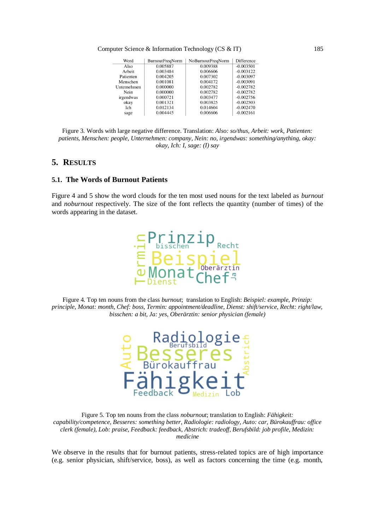Computer Science & Information Technology (CS & IT) 185

| Word        | <b>BurnoutFreqNorm</b> | NoBurnoutFreqNorm | Difference  |
|-------------|------------------------|-------------------|-------------|
| Also        | 0.005887               | 0.009388          | $-0.003501$ |
| Arbeit      | 0.003484               | 0.006606          | $-0.003122$ |
| Patienten   | 0.004205               | 0.007302          | $-0.003097$ |
| Menschen    | 0.001081               | 0.004172          | $-0.003091$ |
| Unternehmen | 0.000000               | 0.002782          | $-0.002782$ |
| Nein        | 0.000000               | 0.002782          | $-0.002782$ |
| irgendwas   | 0.000721               | 0.003477          | $-0.002756$ |
| okay        | 0.001321               | 0.003825          | $-0.002503$ |
| Ich         | 0.012134               | 0.014604          | $-0.002470$ |
| sage        | 0.004445               | 0.006606          | $-0.002161$ |

Figure 3. Words with large negative difference. Translation: *Also: so/thus, Arbeit: work, Patienten: patients, Menschen: people, Unternehmen: company, Nein: no, irgendwas: something/anything, okay: okay, Ich: I, sage: (I) say*

# **5. RESULTS**

# **5.1. The Words of Burnout Patients**

Figure 4 and 5 show the word clouds for the ten most used nouns for the text labeled as *burnout* and *noburnout* respectively. The size of the font reflects the quantity (number of times) of the words appearing in the dataset.



Figure 4. Top ten nouns from the class *burnout*; translation to English: *Beispiel: example, Prinzip: principle, Monat: month, Chef: boss, Termin: appointment/deadline, Dienst: shift/service, Recht: right/law, bisschen: a bit, Ja: yes, Oberärztin: senior physician (female)*



Figure 5. Top ten nouns from the class *noburnout*; translation to English: *Fähigkeit: capability/competence, Besseres: something better, Radiologie: radiology, Auto: car, Bürokauffrau: office clerk (female), Lob: praise, Feedback: feedback, Abstrich: tradeoff, Berufsbild: job profile, Medizin: medicine*

We observe in the results that for burnout patients, stress-related topics are of high importance (e.g. senior physician, shift/service, boss), as well as factors concerning the time (e.g. month,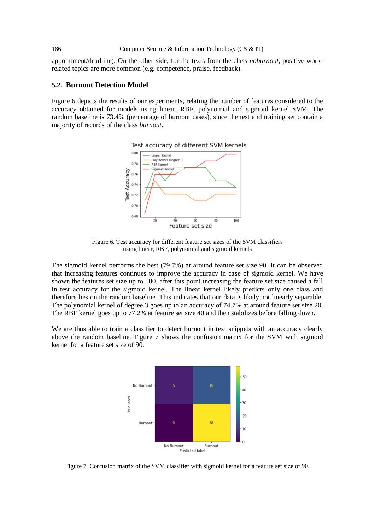appointment/deadline). On the other side, for the texts from the class *noburnout*, positive workrelated topics are more common (e.g. competence, praise, feedback).

#### **5.2. Burnout Detection Model**

Figure 6 depicts the results of our experiments, relating the number of features considered to the accuracy obtained for models using linear, RBF, polynomial and sigmoid kernel SVM. The random baseline is 73.4% (percentage of burnout cases), since the test and training set contain a majority of records of the class *burnout*.



Figure 6. Test accuracy for different feature set sizes of the SVM classifiers using linear, RBF, polynomial and sigmoid kernels

The sigmoid kernel performs the best (79.7%) at around feature set size 90. It can be observed that increasing features continues to improve the accuracy in case of sigmoid kernel. We have shown the features set size up to 100, after this point increasing the feature set size caused a fall in test accuracy for the sigmoid kernel. The linear kernel likely predicts only one class and therefore lies on the random baseline. This indicates that our data is likely not linearly separable. The polynomial kernel of degree 3 goes up to an accuracy of 74.7% at around feature set size 20. The RBF kernel goes up to 77.2% at feature set size 40 and then stabilizes before falling down.

We are thus able to train a classifier to detect burnout in text snippets with an accuracy clearly above the random baseline. Figure 7 shows the confusion matrix for the SVM with sigmoid kernel for a feature set size of 90.



Figure 7. Confusion matrix of the SVM classifier with sigmoid kernel for a feature set size of 90.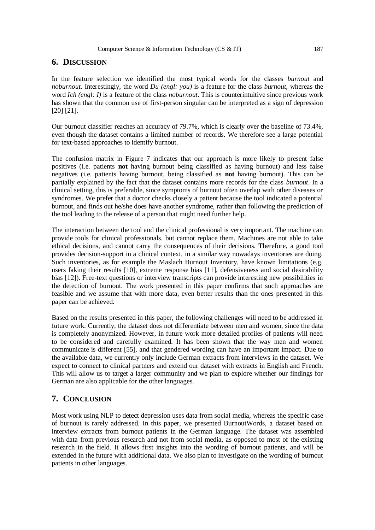# **6. DISCUSSION**

In the feature selection we identified the most typical words for the classes *burnout* and *noburnout*. Interestingly, the word *Du (engl: you)* is a feature for the class *burnout*, whereas the word *Ich (engl: I)* is a feature of the class *noburnout*. This is counterintuitive since previous work has shown that the common use of first-person singular can be interpreted as a sign of depression [20] [21].

Our burnout classifier reaches an accuracy of 79.7%, which is clearly over the baseline of 73.4%, even though the dataset contains a limited number of records. We therefore see a large potential for text-based approaches to identify burnout.

The confusion matrix in Figure 7 indicates that our approach is more likely to present false positives (i.e. patients **not** having burnout being classified as having burnout) and less false negatives (i.e. patients having burnout, being classified as **not** having burnout). This can be partially explained by the fact that the dataset contains more records for the class *burnout*. In a clinical setting, this is preferable, since symptoms of burnout often overlap with other diseases or syndromes. We prefer that a doctor checks closely a patient because the tool indicated a potential burnout, and finds out he/she does have another syndrome, rather than following the prediction of the tool leading to the release of a person that might need further help.

The interaction between the tool and the clinical professional is very important. The machine can provide tools for clinical professionals, but cannot replace them. Machines are not able to take ethical decisions, and cannot carry the consequences of their decisions. Therefore, a good tool provides decision-support in a clinical context, in a similar way nowadays inventories are doing. Such inventories, as for example the Maslach Burnout Inventory, have known limitations (e.g. users faking their results [10], extreme response bias [11], defensiveness and social desirability bias [12]). Free-text questions or interview transcripts can provide interesting new possibilities in the detection of burnout. The work presented in this paper confirms that such approaches are feasible and we assume that with more data, even better results than the ones presented in this paper can be achieved.

Based on the results presented in this paper, the following challenges will need to be addressed in future work. Currently, the dataset does not differentiate between men and women, since the data is completely anonymized. However, in future work more detailed profiles of patients will need to be considered and carefully examined. It has been shown that the way men and women communicate is different [55], and that gendered wording can have an important impact. Due to the available data, we currently only include German extracts from interviews in the dataset. We expect to connect to clinical partners and extend our dataset with extracts in English and French. This will allow us to target a larger community and we plan to explore whether our findings for German are also applicable for the other languages.

# **7. CONCLUSION**

Most work using NLP to detect depression uses data from social media, whereas the specific case of burnout is rarely addressed. In this paper, we presented BurnoutWords, a dataset based on interview extracts from burnout patients in the German language. The dataset was assembled with data from previous research and not from social media, as opposed to most of the existing research in the field. It allows first insights into the wording of burnout patients, and will be extended in the future with additional data. We also plan to investigate on the wording of burnout patients in other languages.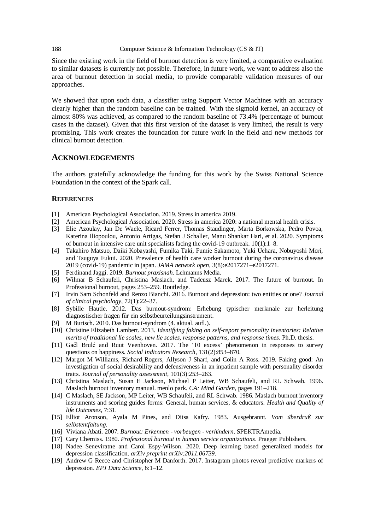Since the existing work in the field of burnout detection is very limited, a comparative evaluation to similar datasets is currently not possible. Therefore, in future work, we want to address also the area of burnout detection in social media, to provide comparable validation measures of our approaches.

We showed that upon such data, a classifier using Support Vector Machines with an accuracy clearly higher than the random baseline can be trained. With the sigmoid kernel, an accuracy of almost 80% was achieved, as compared to the random baseline of 73.4% (percentage of burnout cases in the dataset). Given that this first version of the dataset is very limited, the result is very promising. This work creates the foundation for future work in the field and new methods for clinical burnout detection.

# **ACKNOWLEDGEMENTS**

The authors gratefully acknowledge the funding for this work by the Swiss National Science Foundation in the context of the Spark call.

# **REFERENCES**

- [1] American Psychological Association. 2019. Stress in america 2019.
- [2] American Psychological Association. 2020. Stress in america 2020: a national mental health crisis.
- [3] Elie Azoulay, Jan De Waele, Ricard Ferrer, Thomas Staudinger, Marta Borkowska, Pedro Povoa, Katerina Iliopoulou, Antonio Artigas, Stefan J Schaller, Manu Shankar Hari, et al. 2020. Symptoms of burnout in intensive care unit specialists facing the covid-19 outbreak. 10(1):1–8.
- [4] Takahiro Matsuo, Daiki Kobayashi, Fumika Taki, Fumie Sakamoto, Yuki Uehara, Nobuyoshi Mori, and Tsuguya Fukui. 2020. Prevalence of health care worker burnout during the coronavirus disease 2019 (covid-19) pandemic in japan. *JAMA network open*, 3(8):e2017271–e2017271.
- [5] Ferdinand Jaggi. 2019. *Burnout praxisnah*. Lehmanns Media.
- [6] Wilmar B Schaufeli, Christina Maslach, and Tadeusz Marek. 2017. The future of burnout. In Professional burnout, pages 253–259. Routledge.
- [7] Irvin Sam Schonfeld and Renzo Bianchi. 2016. Burnout and depression: two entities or one? *Journal of clinical psychology*, 72(1):22–37.
- [8] Sybille Hautle. 2012. Das burnout-syndrom: Erhebung typischer merkmale zur herleitung diagnostischer fragen für ein selbstbeurteilungsinstrument.
- [9] M Burisch. 2010. Das burnout-syndrom (4. aktual. aufl.).
- [10] Christine Elizabeth Lambert. 2013. *Identifying faking on self-report personality inventories: Relative merits of traditional lie scales, new lie scales, response patterns, and response times*. Ph.D. thesis.
- [11] Gaël Brulé and Ruut Veenhoven. 2017. The '10 excess' phenomenon in responses to survey questions on happiness. *Social Indicators Research*, 131(2):853–870.
- [12] Margot M Williams, Richard Rogers, Allyson J Sharf, and Colin A Ross. 2019. Faking good: An investigation of social desirability and defensiveness in an inpatient sample with personality disorder traits. *Journal of personality assessment*, 101(3):253–263.
- [13] Christina Maslach, Susan E Jackson, Michael P Leiter, WB Schaufeli, and RL Schwab. 1996. Maslach burnout inventory manual. menlo park. *CA: Mind Garden*, pages 191–218.
- [14] C Maslach, SE Jackson, MP Leiter, WB Schaufeli, and RL Schwab. 1986. Maslach burnout inventory instruments and scoring guides forms: General, human services, & educators. *Health and Quality of life Outcomes*, 7:31.
- [15] Elliot Aronson, Ayala M Pines, and Ditsa Kafry. 1983. Ausgebrannt. *Vom überdruß zur selbstentfaltung*.
- [16] Viviana Abati. 2007. *Burnout: Erkennen - vorbeugen - verhindern*. SPEKTRAmedia.
- [17] Cary Cherniss. 1980. *Professional burnout in human service organizations*. Praeger Publishers.
- [18] Nadee Seneviratne and Carol Espy-Wilson. 2020. Deep learning based generalized models for depression classification. *arXiv preprint arXiv:2011.06739*.
- [19] Andrew G Reece and Christopher M Danforth. 2017. Instagram photos reveal predictive markers of depression. *EPJ Data Science*, 6:1–12.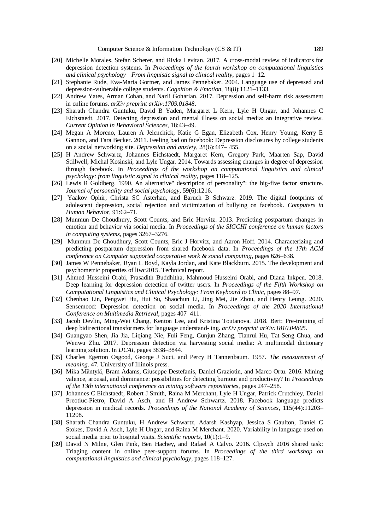- [20] Michelle Morales, Stefan Scherer, and Rivka Levitan. 2017. A cross-modal review of indicators for depression detection systems. In *Proceedings of the fourth workshop on computational linguistics and clinical psychology—From linguistic signal to clinical reality*, pages 1–12.
- [21] Stephanie Rude, Eva-Maria Gortner, and James Pennebaker. 2004. Language use of depressed and depression-vulnerable college students. *Cognition & Emotion*, 18(8):1121–1133.
- [22] Andrew Yates, Arman Cohan, and Nazli Goharian. 2017. Depression and self-harm risk assessment in online forums. *arXiv preprint arXiv:1709.01848*.
- [23] Sharath Chandra Guntuku, David B Yaden, Margaret L Kern, Lyle H Ungar, and Johannes C Eichstaedt. 2017. Detecting depression and mental illness on social media: an integrative review. *Current Opinion in Behavioral Sciences*, 18:43–49.
- [24] Megan A Moreno, Lauren A Jelenchick, Katie G Egan, Elizabeth Cox, Henry Young, Kerry E Gannon, and Tara Becker. 2011. Feeling bad on facebook: Depression disclosures by college students on a social networking site. *Depression and anxiety*, 28(6):447– 455.
- [25] H Andrew Schwartz, Johannes Eichstaedt, Margaret Kern, Gregory Park, Maarten Sap, David Stillwell, Michal Kosinski, and Lyle Ungar. 2014. Towards assessing changes in degree of depression through facebook. In *Proceedings of the workshop on computational linguistics and clinical psychology: from linguistic signal to clinical reality*, pages 118–125.
- [26] Lewis R Goldberg. 1990. An alternative" description of personality": the big-five factor structure. *Journal of personality and social psychology*, 59(6):1216.
- [27] Yaakov Ophir, Christa SC Asterhan, and Baruch B Schwarz. 2019. The digital footprints of adolescent depression, social rejection and victimization of bullying on facebook. *Computers in Human Behavior*, 91:62–71.
- [28] Munmun De Choudhury, Scott Counts, and Eric Horvitz. 2013. Predicting postpartum changes in emotion and behavior via social media. In *Proceedings of the SIGCHI conference on human factors in computing systems*, pages 3267–3276.
- [29] Munmun De Choudhury, Scott Counts, Eric J Horvitz, and Aaron Hoff. 2014. Characterizing and predicting postpartum depression from shared facebook data. In *Proceedings of the 17th ACM conference on Computer supported cooperative work & social computing*, pages 626–638.
- [30] James W Pennebaker, Ryan L Boyd, Kayla Jordan, and Kate Blackburn. 2015. The development and psychometric properties of liwc2015. Technical report.
- [31] Ahmed Husseini Orabi, Prasadith Buddhitha, Mahmoud Husseini Orabi, and Diana Inkpen. 2018. Deep learning for depression detection of twitter users. In *Proceedings of the Fifth Workshop on Computational Linguistics and Clinical Psychology: From Keyboard to Clinic*, pages 88–97.
- [32] Chenhao Lin, Pengwei Hu, Hui Su, Shaochun Li, Jing Mei, Jie Zhou, and Henry Leung. 2020. Sensemood: Depression detection on social media. In *Proceedings of the 2020 International Conference on Multimedia Retrieval*, pages 407–411.
- [33] Jacob Devlin, Ming-Wei Chang, Kenton Lee, and Kristina Toutanova. 2018. Bert: Pre-training of deep bidirectional transformers for language understand- ing. *arXiv preprint arXiv:1810.04805*.
- [34] Guangyao Shen, Jia Jia, Liqiang Nie, Fuli Feng, Cunjun Zhang, Tianrui Hu, Tat-Seng Chua, and Wenwu Zhu. 2017. Depression detection via harvesting social media: A multimodal dictionary learning solution. In *IJCAI*, pages 3838–3844.
- [35] Charles Egerton Osgood, George J Suci, and Percy H Tannenbaum. 1957. *The measurement of meaning*. 47. University of Illinois press.
- [36] Mika Mäntylä, Bram Adams, Giuseppe Destefanis, Daniel Graziotin, and Marco Ortu. 2016. Mining valence, arousal, and dominance: possibilities for detecting burnout and productivity? In *Proceedings of the 13th international conference on mining software repositories*, pages 247–258.
- [37] Johannes C Eichstaedt, Robert J Smith, Raina M Merchant, Lyle H Ungar, Patrick Crutchley, Daniel Preotiuc-Pietro, David A Asch, and H Andrew Schwartz. 2018. Facebook language predicts depression in medical records. *Proceedings of the National Academy of Sciences*, 115(44):11203– 11208.
- [38] Sharath Chandra Guntuku, H Andrew Schwartz, Adarsh Kashyap, Jessica S Gaulton, Daniel C Stokes, David A Asch, Lyle H Ungar, and Raina M Merchant. 2020. Variability in language used on social media prior to hospital visits. *Scientific reports*, 10(1):1–9.
- [39] David N Milne, Glen Pink, Ben Hachey, and Rafael A Calvo. 2016. Clpsych 2016 shared task: Triaging content in online peer-support forums. In *Proceedings of the third workshop on computational linguistics and clinical psychology*, pages 118–127.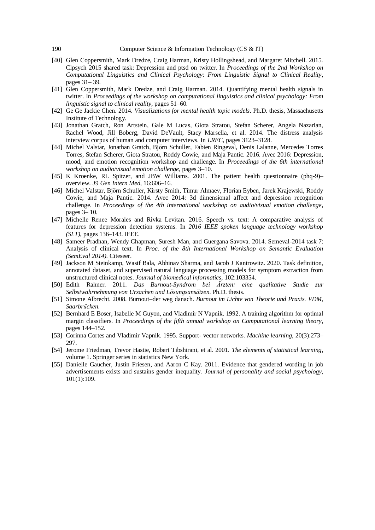- [40] Glen Coppersmith, Mark Dredze, Craig Harman, Kristy Hollingshead, and Margaret Mitchell. 2015. Clpsych 2015 shared task: Depression and ptsd on twitter. In *Proceedings of the 2nd Workshop on Computational Linguistics and Clinical Psychology: From Linguistic Signal to Clinical Reality*, pages 31– 39.
- [41] Glen Coppersmith, Mark Dredze, and Craig Harman. 2014. Quantifying mental health signals in twitter. In *Proceedings of the workshop on computational linguistics and clinical psychology: From linguistic signal to clinical reality*, pages 51–60.
- [42] Ge Ge Jackie Chen. 2014. *Visualizations for mental health topic models*. Ph.D. thesis, Massachusetts Institute of Technology.
- [43] Jonathan Gratch, Ron Artstein, Gale M Lucas, Giota Stratou, Stefan Scherer, Angela Nazarian, Rachel Wood, Jill Boberg, David DeVault, Stacy Marsella, et al. 2014. The distress analysis interview corpus of human and computer interviews. In *LREC*, pages 3123–3128.
- [44] Michel Valstar, Jonathan Gratch, Björn Schuller, Fabien Ringeval, Denis Lalanne, Mercedes Torres Torres, Stefan Scherer, Giota Stratou, Roddy Cowie, and Maja Pantic. 2016. Avec 2016: Depression, mood, and emotion recognition workshop and challenge. In *Proceedings of the 6th international workshop on audio/visual emotion challenge*, pages 3–10.
- [45] K Kroenke, RL Spitzer, and JBW Williams. 2001. The patient health questionnaire (phq-9)– overview. *J*9 *Gen Intern Med*, 16:606–16.
- [46] Michel Valstar, Björn Schuller, Kirsty Smith, Timur Almaev, Florian Eyben, Jarek Krajewski, Roddy Cowie, and Maja Pantic. 2014. Avec 2014: 3d dimensional affect and depression recognition challenge. In *Proceedings of the 4th international workshop on audio/visual emotion challenge*, pages 3– 10.
- [47] Michelle Renee Morales and Rivka Levitan. 2016. Speech vs. text: A comparative analysis of features for depression detection systems. In *2016 IEEE spoken language technology workshop (SLT)*, pages 136–143. IEEE.
- [48] Sameer Pradhan, Wendy Chapman, Suresh Man, and Guergana Savova. 2014. Semeval-2014 task 7: Analysis of clinical text. In *Proc. of the 8th International Workshop on Semantic Evaluation (SemEval 2014)*. Citeseer.
- [49] Jackson M Steinkamp, Wasif Bala, Abhinav Sharma, and Jacob J Kantrowitz. 2020. Task definition, annotated dataset, and supervised natural language processing models for symptom extraction from unstructured clinical notes. *Journal of biomedical informatics*, 102:103354.
- [50] Edith Rahner. 2011. *Das Burnout-Syndrom bei Ärzten: eine qualitative Studie zur Selbstwahrnehmung von Ursachen und Lösungsansätzen*. Ph.D. thesis.
- [51] Simone Albrecht. 2008. Burnout–der weg danach. *Burnout im Lichte von Theorie und Praxis. VDM, Saarbrücken*.
- [52] Bernhard E Boser, Isabelle M Guyon, and Vladimir N Vapnik. 1992. A training algorithm for optimal margin classifiers. In *Proceedings of the fifth annual workshop on Computational learning theory*, pages 144–152.
- [53] Corinna Cortes and Vladimir Vapnik. 1995. Support- vector networks. *Machine learning*, 20(3):273– 297.
- [54] Jerome Friedman, Trevor Hastie, Robert Tibshirani, et al. 2001. *The elements of statistical learning*, volume 1. Springer series in statistics New York.
- [55] Danielle Gaucher, Justin Friesen, and Aaron C Kay. 2011. Evidence that gendered wording in job advertisements exists and sustains gender inequality. *Journal of personality and social psychology*, 101(1):109.